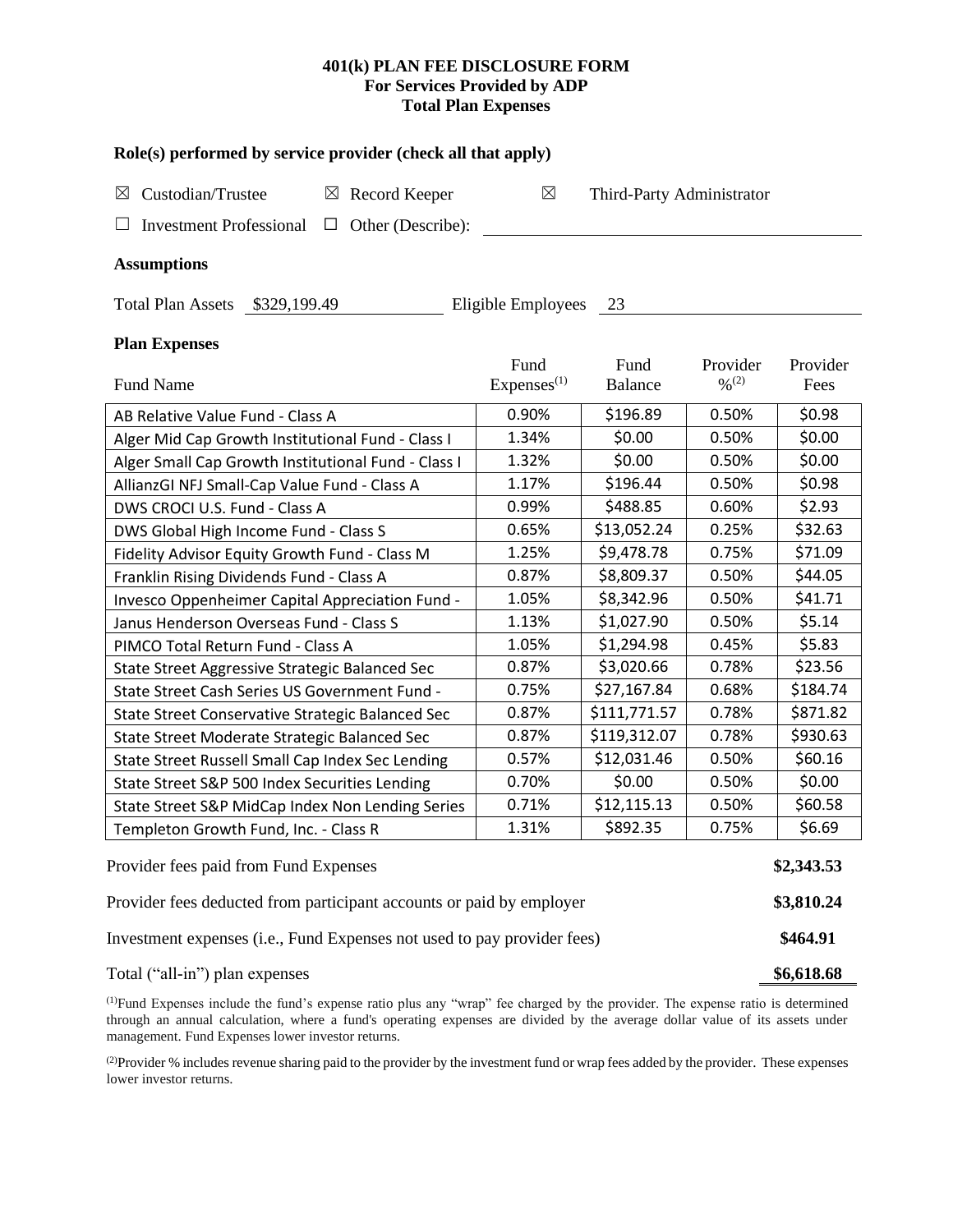# **401(k) PLAN FEE DISCLOSURE FORM For Services Provided by ADP Total Plan Expenses**

| Role(s) performed by service provider (check all that apply)            |                                |                           |                                          |                  |  |  |  |  |  |
|-------------------------------------------------------------------------|--------------------------------|---------------------------|------------------------------------------|------------------|--|--|--|--|--|
| Custodian/Trustee<br>$\boxtimes$ Record Keeper<br>⊠                     | $\boxtimes$                    | Third-Party Administrator |                                          |                  |  |  |  |  |  |
| Investment Professional $\Box$ Other (Describe):                        |                                |                           |                                          |                  |  |  |  |  |  |
| <b>Assumptions</b>                                                      |                                |                           |                                          |                  |  |  |  |  |  |
| Total Plan Assets \$329,199.49<br>Eligible Employees<br>23              |                                |                           |                                          |                  |  |  |  |  |  |
| <b>Plan Expenses</b>                                                    |                                |                           |                                          |                  |  |  |  |  |  |
| <b>Fund Name</b>                                                        | Fund<br>Express <sup>(1)</sup> | Fund<br>Balance           | Provider<br>$\frac{0}{2}$ <sup>(2)</sup> | Provider<br>Fees |  |  |  |  |  |
| AB Relative Value Fund - Class A                                        | 0.90%                          | \$196.89                  | 0.50%                                    | \$0.98           |  |  |  |  |  |
| Alger Mid Cap Growth Institutional Fund - Class I                       | 1.34%                          | \$0.00                    | 0.50%                                    | \$0.00           |  |  |  |  |  |
| Alger Small Cap Growth Institutional Fund - Class I                     | 1.32%                          | \$0.00                    | 0.50%                                    | \$0.00           |  |  |  |  |  |
| AllianzGI NFJ Small-Cap Value Fund - Class A                            | 1.17%                          | \$196.44                  | 0.50%                                    | \$0.98           |  |  |  |  |  |
| DWS CROCI U.S. Fund - Class A                                           | 0.99%                          | \$488.85                  | 0.60%                                    | \$2.93           |  |  |  |  |  |
| DWS Global High Income Fund - Class S                                   | 0.65%                          | \$13,052.24               | 0.25%                                    | \$32.63          |  |  |  |  |  |
| Fidelity Advisor Equity Growth Fund - Class M                           | 1.25%                          | \$9,478.78                | 0.75%                                    | \$71.09          |  |  |  |  |  |
| Franklin Rising Dividends Fund - Class A                                | 0.87%                          | \$8,809.37                | 0.50%                                    | \$44.05          |  |  |  |  |  |
| Invesco Oppenheimer Capital Appreciation Fund -                         | 1.05%                          | \$8,342.96                | 0.50%                                    | \$41.71          |  |  |  |  |  |
| Janus Henderson Overseas Fund - Class S                                 | 1.13%                          | \$1,027.90                | 0.50%                                    | \$5.14           |  |  |  |  |  |
| PIMCO Total Return Fund - Class A                                       | 1.05%                          | \$1,294.98                | 0.45%                                    | \$5.83           |  |  |  |  |  |
| State Street Aggressive Strategic Balanced Sec                          | 0.87%                          | \$3,020.66                | 0.78%                                    | \$23.56          |  |  |  |  |  |
| State Street Cash Series US Government Fund -                           | 0.75%                          | \$27,167.84               | 0.68%                                    | \$184.74         |  |  |  |  |  |
| State Street Conservative Strategic Balanced Sec                        | 0.87%                          | \$111,771.57              | 0.78%                                    | \$871.82         |  |  |  |  |  |
| State Street Moderate Strategic Balanced Sec                            | 0.87%                          | \$119,312.07              | 0.78%                                    | \$930.63         |  |  |  |  |  |
| State Street Russell Small Cap Index Sec Lending                        | 0.57%                          | \$12,031.46               | 0.50%                                    | \$60.16          |  |  |  |  |  |
| State Street S&P 500 Index Securities Lending                           | 0.70%                          | \$0.00                    | 0.50%                                    | \$0.00           |  |  |  |  |  |
| State Street S&P MidCap Index Non Lending Series                        | 0.71%                          | \$12,115.13               | 0.50%                                    | \$60.58          |  |  |  |  |  |
| Templeton Growth Fund, Inc. - Class R                                   | 1.31%                          | \$892.35                  | 0.75%                                    | \$6.69           |  |  |  |  |  |
| Provider fees paid from Fund Expenses                                   |                                |                           |                                          |                  |  |  |  |  |  |
| Provider fees deducted from participant accounts or paid by employer    |                                |                           |                                          |                  |  |  |  |  |  |
| Investment expenses (i.e., Fund Expenses not used to pay provider fees) |                                |                           |                                          |                  |  |  |  |  |  |

Total ("all-in") plan expenses **\$6,618.68**

(1)Fund Expenses include the fund's expense ratio plus any "wrap" fee charged by the provider. The expense ratio is determined through an annual calculation, where a fund's operating expenses are divided by the average dollar value of its assets under management. Fund Expenses lower investor returns.

<sup>(2)</sup>Provider % includes revenue sharing paid to the provider by the investment fund or wrap fees added by the provider. These expenses lower investor returns.